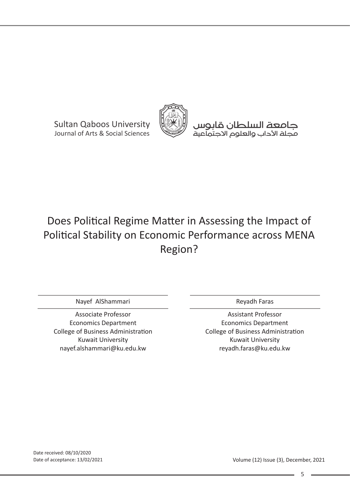Sultan Qaboos University Journal of Arts & Social Sciences



جامعة السلطان قابوس مجلة اآلداب والعلوم االجتماعية

# Provide Security Constants for Contact Security Constants for Constant Constants (Security Constant Constant Co Does Political Regime Matter in Assessing the Impact of Political Stability on Economic Performance across MENA

Nayef AlShammari

nayef.alshammari@ku.edu.kw Associate Professor Economics Department College of Business Administration Kuwait University

Reyadh Faras

Assistant Professor Economics Department College of Business Administration Kuwait University reyadh.faras@ku.edu.kw

Date received: 08/10/2020 Date of acceptance: 13/02/2021

Volume (12) Issue (3), December, 2021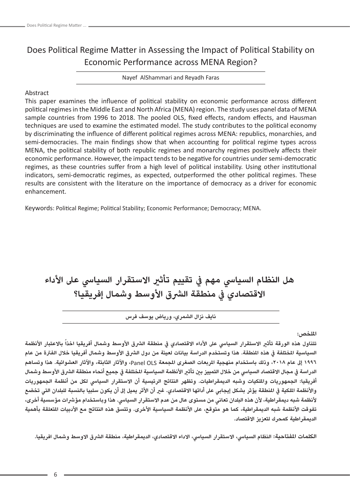# Does Political Regime Matter in Assessing the Impact of Political Stability on Economic Performance across MENA Region?

Nayef AlShammari and Reyadh Faras

# Abstract

This paper examines the influence of political stability on economic performance across different political regimes in the Middle East and North Africa (MENA) region. The study uses panel data of MENA sample countries from 1996 to 2018. The pooled OLS, fixed effects, random effects, and Hausman techniques are used to examine the estimated model. The study contributes to the political economy by discriminating the influence of different political regimes across MENA: republics, monarchies, and semi-democracies. The main findings show that when accounting for political regime types across MENA, the political stability of both republic regimes and monarchy regimes positively affects their economic performance. However, the impact tends to be negative for countries under semi-democratic regimes, as these countries suffer from a high level of political instability. Using other institutional indicators, semi-democratic regimes, as expected, outperformed the other political regimes. These results are consistent with the literature on the importance of democracy as a driver for economic enhancement.

Keywords: Political Regime; Political Stability; Economic Performance; Democracy; MENA.

**هل النظام السيايس مهم يف تقييم تأثري االستقرار السيايس عىل األداء**  الاقتصادي في منطقة الشرق الأوسط وشمال إفريقيا؟

**نايف نزال الشمري، ورياض يوسف فرس**

**امللخص:**

تتناول هذه الورقة تأثير الاستقرار السياسي على الأداء الاقتصادي في منطقة الشرق الأوسط وشمال أفريقيا اخذا بالاعتبار الأنظمة السياسية المختلفة في هذه المنطقة. هذا وتستخدم الدراسة بيانات لعينة من دول الشرق الأوسط وشمال أفريقيا خلال الفترة من عام **1996 إىل عام ،2018 وذلك باستخدام منهجية املربعات الصغرى املجمعة** OLS Panel**، واآلثار الثابتة، واآلثار العشوائية. هذا وتساهم**  الدراسة في مجال الاقتصاد السياسي من خلال التمييز بين تأثير الأنظمة السياسية المختلفة في جميع أنحاء منطقة الشرق الأوسط وشمال **أفريقيا: الجمهوريات وامللكيات وشبه الديمقراطيات. وتظهر النتائج الرئيسية أن االستقرار السيايس لكل من أنظمة الجمهوريات**  والأنظمة اللكية في المنطقة يؤثر بشكل إيجابي على أدائها الاقتصادي. غ<sup>ر</sup> أن الأثر يميل إلى أن يكون سلبيا بالنسبة للبلدان التي تخضع **ألنظمة شبه ديمقراطية، ألن هذه البلدان تعاني من مستوى عال من عدم االستقرار السيايس. هذا وباستخدام مؤرشات مؤسسية أخرى،**  تفوقت الأنظمة شبه الديمقراطية، كما هو متوقع، على الأنظمة السياسية الأخرى. وتتسق هذه النتائج مع الأدبيات المتعلقة بأهمية **الديمقراطية كمحرك لتعزيز االقتصاد.**

**الكلمات املفتاحية: النظام السيايس، االستقرار السيايس، االداء االقتصادي، الديمقراطية، منطقة الرشق االوسط وشمال افريقيا.**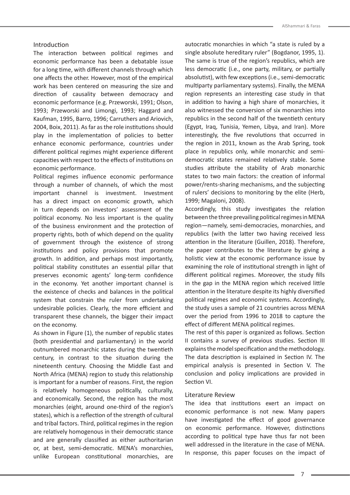#### Introduction

The interaction between political regimes and economic performance has been a debatable issue for a long time, with different channels through which one affects the other. However, most of the empirical work has been centered on measuring the size and direction of causality between democracy and economic performance (e.g. Przeworski, 1991; Olson, 1993; Przeworski and Limongi, 1993; Haggard and Kaufman, 1995, Barro, 1996; Carruthers and Ariovich, 2004, Boix, 2011). As far as the role institutions should play in the implementation of policies to better enhance economic performance, countries under different political regimes might experience different capacities with respect to the effects of institutions on economic performance.

Political regimes influence economic performance through a number of channels, of which the most important channel is investment. Investment has a direct impact on economic growth, which in turn depends on investors' assessment of the political economy. No less important is the quality of the business environment and the protection of property rights, both of which depend on the quality of government through the existence of strong institutions and policy provisions that promote growth. In addition, and perhaps most importantly, political stability constitutes an essential pillar that preserves economic agents' long-term confidence in the economy. Yet another important channel is the existence of checks and balances in the political system that constrain the ruler from undertaking undesirable policies. Clearly, the more efficient and transparent these channels, the bigger their impact on the economy.

As shown in Figure (1), the number of republic states (both presidential and parliamentary) in the world outnumbered monarchic states during the twentieth century, in contrast to the situation during the nineteenth century. Choosing the Middle East and North Africa (MENA) region to study this relationship is important for a number of reasons. First, the region is relatively homogeneous politically, culturally, and economically. Second, the region has the most monarchies (eight, around one-third of the region's states), which is a reflection of the strength of cultural and tribal factors. Third, political regimes in the region are relatively homogenous in their democratic stance and are generally classified as either authoritarian or, at best, semi-democratic. MENA's monarchies, unlike European constitutional monarchies, are autocratic monarchies in which "a state is ruled by a single absolute hereditary ruler" (Bogdanor, 1995, 1). The same is true of the region's republics, which are less democratic (i.e., one party, military, or partially absolutist), with few exceptions (i.e., semi-democratic multiparty parliamentary systems). Finally, the MENA region represents an interesting case study in that in addition to having a high share of monarchies, it also witnessed the conversion of six monarchies into republics in the second half of the twentieth century (Egypt, Iraq, Tunisia, Yemen, Libya, and Iran). More interestingly, the five revolutions that occurred in the region in 2011, known as the Arab Spring, took place in republics only, while monarchic and semidemocratic states remained relatively stable. Some studies attribute the stability of Arab monarchic states to two main factors: the creation of informal power/rents-sharing mechanisms, and the subjecting of rulers' decisions to monitoring by the elite (Herb, 1999; Magaloni, 2008).

Accordingly, this study investigates the relation between the three prevailing political regimes in MENA region—namely, semi-democracies, monarchies, and republics (with the latter two having received less attention in the literature (Guillen, 2018). Therefore, the paper contributes to the literature by giving a holistic view at the economic performance issue by examining the role of institutional strength in light of different political regimes. Moreover, the study fills in the gap in the MENA region which received little attention in the literature despite its highly diversified political regimes and economic systems. Accordingly, the study uses a sample of 21 countries across MENA over the period from 1996 to 2018 to capture the effect of different MENA political regimes.

The rest of this paper is organized as follows. Section II contains a survey of previous studies. Section III explains the model specification and the methodology. The data description is explained in Section IV. The empirical analysis is presented in Section V. The conclusion and policy implications are provided in Section VI.

#### Literature Review

The idea that institutions exert an impact on economic performance is not new. Many papers have investigated the effect of good governance on economic performance. However, distinctions according to political type have thus far not been well addressed in the literature in the case of MENA. In response, this paper focuses on the impact of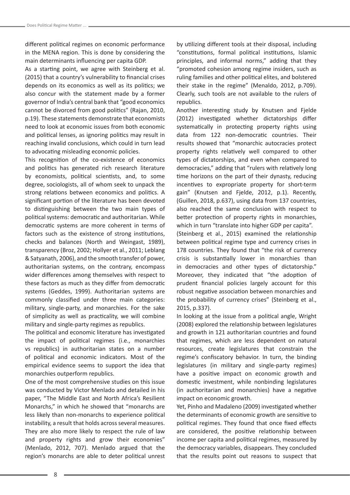different political regimes on economic performance in the MENA region. This is done by considering the main determinants influencing per capita GDP.

As a starting point, we agree with Steinberg et al. (2015) that a country's vulnerability to financial crises depends on its economics as well as its politics; we also concur with the statement made by a former governor of India's central bank that "good economics cannot be divorced from good politics" (Rajan, 2010, p.19). These statements demonstrate that economists need to look at economic issues from both economic and political lenses, as ignoring politics may result in reaching invalid conclusions, which could in turn lead to advocating misleading economic policies.

This recognition of the co-existence of economics and politics has generated rich research literature by economists, political scientists, and, to some degree, sociologists, all of whom seek to unpack the strong relations between economics and politics. A significant portion of the literature has been devoted to distinguishing between the two main types of political systems: democratic and authoritarian. While democratic systems are more coherent in terms of factors such as the existence of strong institutions, checks and balances (North and Weingast, 1989), transparency (Broz, 2002; Hollyer et al., 2011; Leblang & Satyanath, 2006), and the smooth transfer of power, authoritarian systems, on the contrary, encompass wider differences among themselves with respect to these factors as much as they differ from democratic systems (Geddes, 1999). Authoritarian systems are commonly classified under three main categories: military, single-party, and monarchies. For the sake of simplicity as well as practicality, we will combine military and single-party regimes as republics.

The political and economic literature has investigated the impact of political regimes (i.e., monarchies vs republics) in authoritarian states on a number of political and economic indicators. Most of the empirical evidence seems to support the idea that monarchies outperform republics.

One of the most comprehensive studies on this issue was conducted by Victor Menlado and detailed in his paper, "The Middle East and North Africa's Resilient Monarchs," in which he showed that "monarchs are less likely than non-monarchs to experience political instability, a result that holds across several measures. They are also more likely to respect the rule of law and property rights and grow their economies" (Menlado, 2012, 707). Menlado argued that the region's monarchs are able to deter political unrest by utilizing different tools at their disposal, including "constitutions, formal political institutions, Islamic principles, and informal norms," adding that they "promoted cohesion among regime insiders, such as ruling families and other political elites, and bolstered their stake in the regime" (Menaldo, 2012, p.709). Clearly, such tools are not available to the rulers of republics.

Another interesting study by Knutsen and Fjelde (2012) investigated whether dictatorships differ systematically in protecting property rights using data from 122 non-democratic countries. Their results showed that "monarchic autocracies protect property rights relatively well compared to other types of dictatorships, and even when compared to democracies," adding that "rulers with relatively long time horizons on the part of their dynasty, reducing incentives to expropriate property for short-term gain" (Knutsen and Fjelde, 2012, p.1). Recently, (Guillen, 2018, p.637), using data from 137 countries, also reached the same conclusion with respect to better protection of property rights in monarchies, which in turn "translate into higher GDP per capita".

(Steinberg et al., 2015) examined the relationship between political regime type and currency crises in 178 countries. They found that "the risk of currency crisis is substantially lower in monarchies than in democracies and other types of dictatorship." Moreover, they indicated that "the adoption of prudent financial policies largely account for this robust negative association between monarchies and the probability of currency crises" (Steinberg et al., 2015, p.337).

In looking at the issue from a political angle, Wright (2008) explored the relationship between legislatures and growth in 121 authoritarian countries and found that regimes, which are less dependent on natural resources, create legislatures that constrain the regime's confiscatory behavior. In turn, the binding legislatures (in military and single-party regimes) have a positive impact on economic growth and domestic investment, while nonbinding legislatures (in authoritarian and monarchies) have a negative impact on economic growth.

Yet, Pinho and Madaleno (2009) investigated whether the determinants of economic growth are sensitive to political regimes. They found that once fixed effects are considered, the positive relationship between income per capita and political regimes, measured by the democracy variables, disappears. They concluded that the results point out reasons to suspect that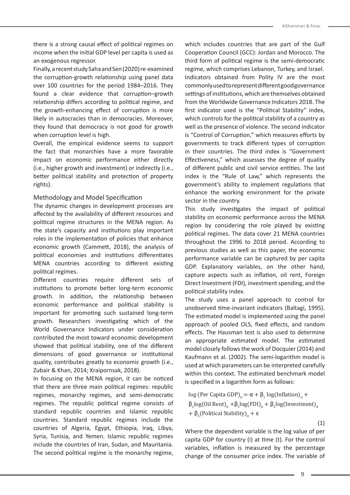there is a strong causal effect of political regimes on income when the initial GDP level per capita is used as an exogenous regressor.

Finally, a recent study Saha and Sen (2020) re-examined the corruption-growth relationship using panel data over 100 countries for the period 1984–2016. They found a clear evidence that corruption–growth relationship differs according to political regime, and the growth-enhancing effect of corruption is more likely in autocracies than in democracies. Moreover, they found that democracy is not good for growth when corruption level is high.

Overall, the empirical evidence seems to support the fact that monarchies have a more favorable impact on economic performance either directly (i.e., higher growth and investment) or indirectly (i.e., better political stability and protection of property rights).

# Methodology and Model Specification

The dynamic changes in development processes are affected by the availability of different resources and political regime structures in the MENA region. As the state's capacity and institutions play important roles in the implementation of policies that enhance economic growth (Cammett, 2018), the analysis of political economies and institutions differentiates MENA countries according to different existing political regimes.

Different countries require different sets of institutions to promote better long-term economic growth. In addition, the relationship between economic performance and political stability is important for promoting such sustained long-term growth. Researchers investigating which of the World Governance Indicators under consideration contributed the most toward economic development showed that political stability, one of the different dimensions of good governance or institutional quality, contributes greatly to economic growth (i.e., Zubair & Khan, 2014; Kraipornsak, 2018).

In focusing on the MENA region, it can be noticed that there are three main political regimes: republic regimes, monarchy regimes, and semi-democratic regimes. The republic political regime consists of standard republic countries and Islamic republic countries. Standard republic regimes include the countries of Algeria, Egypt, Ethiopia, Iraq, Libya, Syria, Tunisia, and Yemen. Islamic republic regimes include the countries of Iran, Sudan, and Mauritania. The second political regime is the monarchy regime,

which includes countries that are part of the Gulf Cooperation Council (GCC): Jordan and Morocco. The third form of political regime is the semi-democratic regime, which comprises Lebanon, Turkey, and Israel. Indicators obtained from Polity IV are the most commonly used to represent different good governance settings of institutions, which are themselves obtained from the Worldwide Governance Indicators 2018. The first indicator used is the "Political Stability" index, which controls for the political stability of a country as well as the presence of violence. The second indicator is "Control of Corruption," which measures efforts by governments to track different types of corruption in their countries. The third index is "Government Effectiveness," which assesses the degree of quality of different public and civil service entities. The last index is the "Rule of Law," which represents the government's ability to implement regulations that enhance the working environment for the private sector in the country.

This study investigates the impact of political stability on economic performance across the MENA region by considering the role played by existing political regimes. The data cover 21 MENA countries throughout the 1996 to 2018 period. According to previous studies as well as this paper, the economic performance variable can be captured by per capita GDP. Explanatory variables, on the other hand, capture aspects such as inflation, oil rent, Foreign Direct Investment (FDI), investment spending, and the political stability index.

The study uses a panel approach to control for unobserved time-invariant indicators (Baltagi, 1995). The estimated model is implemented using the panel approach of pooled OLS, fixed effects, and random effects. The Hausman test is also used to determine an appropriate estimated model. The estimated model closely follows the work of Docquier (2014) and Kaufmann et al. (2002). The semi-logarithm model is used at which parameters can be interpreted carefully within this context. The estimated benchmark model is specified in a logarithm form as follows:

log (Per Capita GDP)<sub>it</sub> =  $\alpha + \beta_1 \log(\text{Inflation})_{it} +$  $\beta_2$ log(Oil Rent)<sub>it</sub> + $\beta_3$ log(FDI)<sub>it</sub> +  $\beta_4$ log(Investment)<sub>it</sub> +  $β<sub>5</sub>(Polritical Stability)<sub>it</sub> + ε$ 

(1)

Where the dependent variable is the log value of per capita GDP for country (i) at time (t). For the control variables, inflation is measured by the percentage change of the consumer price index. The variable of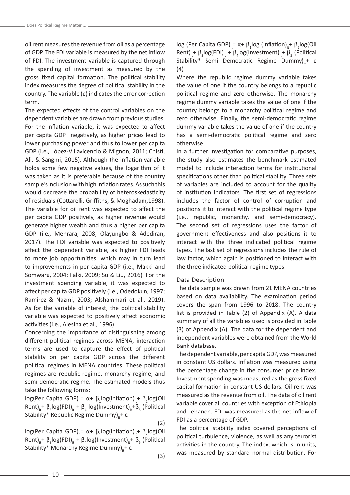oil rent measures the revenue from oil as a percentage of GDP. The FDI variable is measured by the net inflow of FDI. The investment variable is captured through the spending of investment as measured by the gross fixed capital formation. The political stability index measures the degree of political stability in the country. The variable (ε) indicates the error correction term.

The expected effects of the control variables on the dependent variables are drawn from previous studies. For the inflation variable, it was expected to affect per capita GDP negatively, as higher prices lead to lower purchasing power and thus to lower per capita GDP (i.e., López-Villavicencio & Mignon, 2011; Chisti, Ali, & Sangmi, 2015). Although the inflation variable holds some few negative values, the logarithm of it was taken as it is preferable because of the country sample's inclusion with high inflation rates. As such this would decrease the probability of heteroskedasticity of residuals (Cottarelli, Griffiths, & Moghadam,1998). The variable for oil rent was expected to affect the per capita GDP positively, as higher revenue would generate higher wealth and thus a higher per capita GDP (i.e., Mehrara, 2008; Olayungbo & Adediran, 2017). The FDI variable was expected to positively affect the dependent variable, as higher FDI leads to more job opportunities, which may in turn lead to improvements in per capita GDP (i.e., Makki and Somwaru, 2004; Falki, 2009; Su & Liu, 2016). For the investment spending variable, it was expected to affect per capita GDP positively (i.e., Odedokun, 1997; Ramirez & Nazmi, 2003; Alshammari et al., 2019). As for the variable of interest, the political stability variable was expected to positively affect economic activities (i.e., Alesina et al., 1996).

Concerning the importance of distinguishing among different political regimes across MENA, interaction terms are used to capture the effect of political stability on per capita GDP across the different political regimes in MENA countries. These political regimes are republic regime, monarchy regime, and semi-democratic regime. The estimated models thus take the following forms:

log(Per Capita GDP)<sub>it</sub>= α+ β<sub>1</sub>log(Inflation)<sub>it</sub>+ β<sub>2</sub>log(Oil Rent)<sub>it</sub>+ β<sub>3</sub>log(FDI)<sub>it</sub> + β<sub>4</sub> log(Investment)<sub>it</sub>+β<sub>5</sub> (Political Stability\* Republic Regime Dummy)<sub>μ</sub>+ ε

(2)

 $log(Per$  Capita GDP)<sub>it</sub>= α+  $\beta_1 log(Inflation)_{it}$ +  $\beta_2 log(Oil$ Rent)<sub>it</sub>+  $\beta_3$ log(FDI)<sub>it</sub> +  $\beta_4$ log(Investment)<sub>it</sub>+  $\beta_5$  (Political Stability\* Monarchy Regime Dummy)<sub>i</sub>+ ε

(3)

log (Per Capita GDP)<sub>it</sub> = α+ β<sub>1</sub>log (Inflation)<sub>it</sub>+ β<sub>2</sub>log(Oil Rent)<sub>it</sub>+  $\beta_3$ log(FDI)<sub>it</sub> +  $\beta_4$ log(Investment)<sub>it</sub>+  $\beta_5$  (Political Stability\* Semi Democratic Regime Dummy)<sub>i</sub>+ ε (4)

Where the republic regime dummy variable takes the value of one if the country belongs to a republic political regime and zero otherwise. The monarchy regime dummy variable takes the value of one if the country belongs to a monarchy political regime and zero otherwise. Finally, the semi-democratic regime dummy variable takes the value of one if the country has a semi-democratic political regime and zero otherwise.

In a further investigation for comparative purposes, the study also estimates the benchmark estimated model to include interaction terms for institutional specifications other than political stability. Three sets of variables are included to account for the quality of institution indicators. The first set of regressions includes the factor of control of corruption and positions it to interact with the political regime type (i.e., republic, monarchy, and semi-democracy). The second set of regressions uses the factor of government effectiveness and also positions it to interact with the three indicated political regime types. The last set of regressions includes the rule of law factor, which again is positioned to interact with the three indicated political regime types.

#### Data Description

The data sample was drawn from 21 MENA countries based on data availability. The examination period covers the span from 1996 to 2018. The country list is provided in Table (2) of Appendix (A). A data summary of all the variables used is provided in Table (3) of Appendix (A). The data for the dependent and independent variables were obtained from the World Bank database.

The dependent variable, per capita GDP, was measured in constant US dollars. Inflation was measured using the percentage change in the consumer price index. Investment spending was measured as the gross fixed capital formation in constant US dollars. Oil rent was measured as the revenue from oil. The data of oil rent variable cover all countries with exception of Ethiopia and Lebanon. FDI was measured as the net inflow of FDI as a percentage of GDP.

The political stability index covered perceptions of political turbulence, violence, as well as any terrorist activities in the country. The index, which is in units, was measured by standard normal distribution. For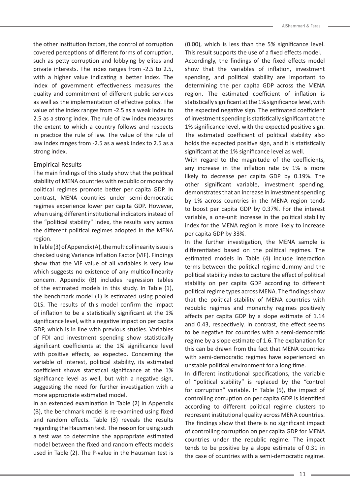the other institution factors, the control of corruption covered perceptions of different forms of corruption, such as petty corruption and lobbying by elites and private interests. The index ranges from -2.5 to 2.5, with a higher value indicating a better index. The index of government effectiveness measures the quality and commitment of different public services as well as the implementation of effective policy. The value of the index ranges from -2.5 as a weak index to 2.5 as a strong index. The rule of law index measures the extent to which a country follows and respects in practice the rule of law. The value of the rule of law index ranges from -2.5 as a weak index to 2.5 as a strong index.

# Empirical Results

The main findings of this study show that the political stability of MENA countries with republic or monarchy political regimes promote better per capita GDP. In contrast, MENA countries under semi-democratic regimes experience lower per capita GDP. However, when using different institutional indicators instead of the "political stability" index, the results vary across the different political regimes adopted in the MENA region.

In Table (3) of Appendix (A), the multicollinearity issue is checked using Variance Inflation Factor (VIF). Findings show that the VIF value of all variables is very low which suggests no existence of any multicollinearity concern. Appendix (B) includes regression tables of the estimated models in this study. In Table (1), the benchmark model (1) is estimated using pooled OLS. The results of this model confirm the impact of inflation to be a statistically significant at the 1% significance level, with a negative impact on per capita GDP, which is in line with previous studies. Variables of FDI and investment spending show statistically significant coefficients at the 1% significance level with positive effects, as expected. Concerning the variable of interest, political stability, its estimated coefficient shows statistical significance at the 1% significance level as well, but with a negative sign, suggesting the need for further investigation with a more appropriate estimated model.

In an extended examination in Table (2) in Appendix (B), the benchmark model is re-examined using fixed and random effects. Table (3) reveals the results regarding the Hausman test. The reason for using such a test was to determine the appropriate estimated model between the fixed and random effects models used in Table (2). The P-value in the Hausman test is

(0.00), which is less than the 5% significance level. This result supports the use of a fixed effects model.

Accordingly, the findings of the fixed effects model show that the variables of inflation, investment spending, and political stability are important to determining the per capita GDP across the MENA region. The estimated coefficient of inflation is statistically significant at the 1% significance level, with the expected negative sign. The estimated coefficient of investment spending is statistically significant at the 1% significance level, with the expected positive sign. The estimated coefficient of political stability also holds the expected positive sign, and it is statistically significant at the 1% significance level as well.

With regard to the magnitude of the coefficients, any increase in the inflation rate by 1% is more likely to decrease per capita GDP by 0.19%. The other significant variable, investment spending, demonstrates that an increase in investment spending by 1% across countries in the MENA region tends to boost per capita GDP by 0.37%. For the interest variable, a one-unit increase in the political stability index for the MENA region is more likely to increase per capita GDP by 33%.

In the further investigation, the MENA sample is differentiated based on the political regimes. The estimated models in Table (4) include interaction terms between the political regime dummy and the political stability index to capture the effect of political stability on per capita GDP according to different political regime types across MENA. The findings show that the political stability of MENA countries with republic regimes and monarchy regimes positively affects per capita GDP by a slope estimate of 1.14 and 0.43, respectively. In contrast, the effect seems to be negative for countries with a semi-democratic regime by a slope estimate of 1.6. The explanation for this can be drawn from the fact that MENA countries with semi-democratic regimes have experienced an unstable political environment for a long time.

In different institutional specifications, the variable of "political stability" is replaced by the "control for corruption" variable. In Table (5), the impact of controlling corruption on per capita GDP is identified according to different political regime clusters to represent institutional quality across MENA countries. The findings show that there is no significant impact of controlling corruption on per capita GDP for MENA countries under the republic regime. The impact tends to be positive by a slope estimate of 0.31 in the case of countries with a semi-democratic regime.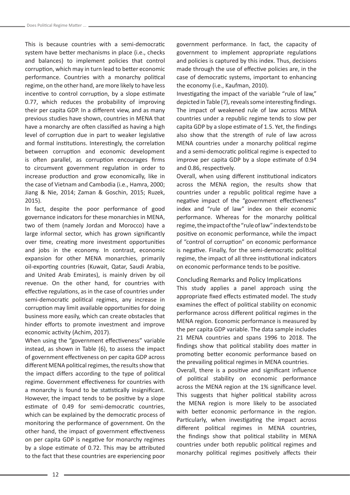This is because countries with a semi-democratic system have better mechanisms in place (i.e., checks and balances) to implement policies that control corruption, which may in turn lead to better economic performance. Countries with a monarchy political regime, on the other hand, are more likely to have less incentive to control corruption, by a slope estimate 0.77, which reduces the probability of improving their per capita GDP. In a different view, and as many previous studies have shown, countries in MENA that have a monarchy are often classified as having a high level of corruption due in part to weaker legislative and formal institutions. Interestingly, the correlation between corruption and economic development is often parallel, as corruption encourages firms to circumvent government regulation in order to increase production and grow economically, like in the case of Vietnam and Cambodia (i.e., Hamra, 2000; Jiang & Nie, 2014; Zaman & Goschin, 2015; Ruzek, 2015).

In fact, despite the poor performance of good governance indicators for these monarchies in MENA, two of them (namely Jordan and Morocco) have a large informal sector, which has grown significantly over time, creating more investment opportunities and jobs in the economy. In contrast, economic expansion for other MENA monarchies, primarily oil-exporting countries (Kuwait, Qatar, Saudi Arabia, and United Arab Emirates), is mainly driven by oil revenue. On the other hand, for countries with effective regulations, as in the case of countries under semi-democratic political regimes, any increase in corruption may limit available opportunities for doing business more easily, which can create obstacles that hinder efforts to promote investment and improve economic activity (Achim, 2017).

When using the "government effectiveness" variable instead, as shown in Table (6), to assess the impact of government effectiveness on per capita GDP across different MENA political regimes, the results show that the impact differs according to the type of political regime. Government effectiveness for countries with a monarchy is found to be statistically insignificant. However, the impact tends to be positive by a slope estimate of 0.49 for semi-democratic countries, which can be explained by the democratic process of monitoring the performance of government. On the other hand, the impact of government effectiveness on per capita GDP is negative for monarchy regimes by a slope estimate of 0.72. This may be attributed to the fact that these countries are experiencing poor government performance. In fact, the capacity of government to implement appropriate regulations and policies is captured by this index. Thus, decisions made through the use of effective policies are, in the case of democratic systems, important to enhancing the economy (i.e., Kaufman, 2010).

Investigating the impact of the variable "rule of law," depicted in Table (7), reveals some interesting findings. The impact of weakened rule of law across MENA countries under a republic regime tends to slow per capita GDP by a slope estimate of 1.5. Yet, the findings also show that the strength of rule of law across MENA countries under a monarchy political regime and a semi-democratic political regime is expected to improve per capita GDP by a slope estimate of 0.94 and 0.86, respectively.

Overall, when using different institutional indicators across the MENA region, the results show that countries under a republic political regime have a negative impact of the "government effectiveness" index and "rule of law" index on their economic performance. Whereas for the monarchy political regime, the impact of the "rule of law" index tends to be positive on economic performance, while the impact of "control of corruption" on economic performance is negative. Finally, for the semi-democratic political regime, the impact of all three institutional indicators on economic performance tends to be positive.

#### Concluding Remarks and Policy Implications

This study applies a panel approach using the appropriate fixed effects estimated model. The study examines the effect of political stability on economic performance across different political regimes in the MENA region. Economic performance is measured by the per capita GDP variable. The data sample includes 21 MENA countries and spans 1996 to 2018. The findings show that political stability does matter in promoting better economic performance based on the prevailing political regimes in MENA countries.

Overall, there is a positive and significant influence of political stability on economic performance across the MENA region at the 1% significance level. This suggests that higher political stability across the MENA region is more likely to be associated with better economic performance in the region. Particularly, when investigating the impact across different political regimes in MENA countries, the findings show that political stability in MENA countries under both republic political regimes and monarchy political regimes positively affects their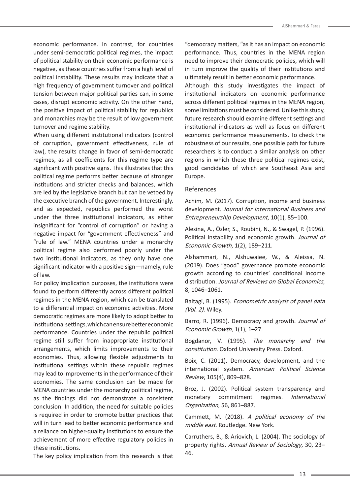economic performance. In contrast, for countries under semi-democratic political regimes, the impact of political stability on their economic performance is negative, as these countries suffer from a high level of political instability. These results may indicate that a high frequency of government turnover and political tension between major political parties can, in some cases, disrupt economic activity. On the other hand, the positive impact of political stability for republics and monarchies may be the result of low government turnover and regime stability.

When using different institutional indicators (control of corruption, government effectiveness, rule of law), the results change in favor of semi-democratic regimes, as all coefficients for this regime type are significant with positive signs. This illustrates that this political regime performs better because of stronger institutions and stricter checks and balances, which are led by the legislative branch but can be vetoed by the executive branch of the government. Interestingly, and as expected, republics performed the worst under the three institutional indicators, as either insignificant for "control of corruption" or having a negative impact for "government effectiveness" and "rule of law." MENA countries under a monarchy political regime also performed poorly under the two institutional indicators, as they only have one significant indicator with a positive sign—namely, rule of law.

For policy implication purposes, the institutions were found to perform differently across different political regimes in the MENA region, which can be translated to a differential impact on economic activities. More democratic regimes are more likely to adopt better to institutional settings, which can ensure better economic performance. Countries under the republic political regime still suffer from inappropriate institutional arrangements, which limits improvements to their economies. Thus, allowing flexible adjustments to institutional settings within these republic regimes may lead to improvements in the performance of their economies. The same conclusion can be made for MENA countries under the monarchy political regime, as the findings did not demonstrate a consistent conclusion. In addition, the need for suitable policies is required in order to promote better practices that will in turn lead to better economic performance and a reliance on higher-quality institutions to ensure the achievement of more effective regulatory policies in these institutions.

The key policy implication from this research is that

"democracy matters, "as it has an impact on economic performance. Thus, countries in the MENA region need to improve their democratic policies, which will in turn improve the quality of their institutions and ultimately result in better economic performance. Although this study investigates the impact of institutional indicators on economic performance across different political regimes in the MENA region, some limitations must be considered. Unlike this study, future research should examine different settings and institutional indicators as well as focus on different economic performance measurements. To check the robustness of our results, one possible path for future researchers is to conduct a similar analysis on other regions in which these three political regimes exist, good candidates of which are Southeast Asia and Europe.

# References

Achim, M. (2017). Corruption, income and business development. Journal for International Business and Entrepreneurship Development, 10(1), 85–100.

Alesina, A., Özler, S., Roubini, N., & Swagel, P. (1996). Political instability and economic growth. Journal of Economic Growth, 1(2), 189–211.

Alshammari, N., Alshuwaiee, W., & Aleissa, N. (2019). Does "good" governance promote economic growth according to countries' conditional income distribution. Journal of Reviews on Global Economics, 8, 1046–1061.

Baltagi, B. (1995). Econometric analysis of panel data (Vol. 2). Wiley.

Barro, R. (1996). Democracy and growth. Journal of Economic Growth, 1(1), 1–27.

Bogdanor, V. (1995). The monarchy and the constitution. Oxford University Press. Oxford.

Boix, C. (2011). Democracy, development, and the international system. American Political Science Review, 105(4), 809–828.

Broz, J. (2002). Political system transparency and monetary commitment regimes. International Organization, 56, 861–887.

Cammett, M. (2018). A political economy of the middle east. Routledge. New York.

Carruthers, B., & Ariovich, L. (2004). The sociology of property rights. Annual Review of Sociology, 30, 23– 46.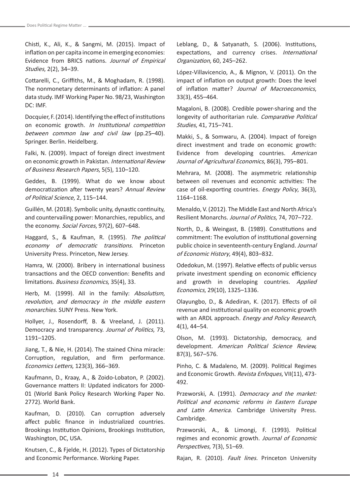Chisti, K., Ali, K., & Sangmi, M. (2015). Impact of inflation on per capita income in emerging economies: Evidence from BRICS nations. Journal of Empirical Studies, 2(2), 34–39.

Cottarelli, C., Griffiths, M., & Moghadam, R. (1998). The nonmonetary determinants of inflation: A panel data study. IMF Working Paper No. 98/23, Washington DC: IMF.

Docquier, F. (2014). Identifying the effect of institutions on economic growth. In Institutional competition between common law and civil law (pp.25–40). Springer. Berlin. Heidelberg.

Falki, N. (2009). Impact of foreign direct investment on economic growth in Pakistan. International Review of Business Research Papers, 5(5), 110–120.

Geddes, B. (1999). What do we know about democratization after twenty years? Annual Review of Political Science, 2, 115–144.

Guillén, M. (2018). Symbolic unity, dynastic continuity, and countervailing power: Monarchies, republics, and the economy. Social Forces, 97(2), 607–648.

Haggard, S., & Kaufman, R. (1995). The political economy of democratic transitions. Princeton University Press. Princeton, New Jersey.

Hamra, W. (2000). Bribery in international business transactions and the OECD convention: Benefits and limitations. Business Economics, 35(4), 33.

Herb, M. (1999). All in the family: Absolutism, revolution, and democracy in the middle eastern monarchies. SUNY Press. New York.

Hollyer, J., Rosendorff, B. & Vreeland, J. (2011). Democracy and transparency. Journal of Politics, 73, 1191–1205.

Jiang, T., & Nie, H. (2014). The stained China miracle: Corruption, regulation, and firm performance. Economics Letters, 123(3), 366–369.

Kaufmann, D., Kraay, A., & Zoido-Lobaton, P. (2002). Governance matters II: Updated indicators for 2000- 01 (World Bank Policy Research Working Paper No. 2772). World Bank.

Kaufman, D. (2010). Can corruption adversely affect public finance in industrialized countries. Brookings Institution Opinions, Brookings Institution, Washington, DC, USA.

Knutsen, C., & Fjelde, H. (2012). Types of Dictatorship and Economic Performance. Working Paper.

Leblang, D., & Satyanath, S. (2006). Institutions, expectations, and currency crises. International Organization, 60, 245–262.

López-Villavicencio, A., & Mignon, V. (2011). On the impact of inflation on output growth: Does the level of inflation matter? Journal of Macroeconomics, 33(3), 455–464.

Magaloni, B. (2008). Credible power-sharing and the longevity of authoritarian rule. Comparative Political Studies, 41, 715–741.

Makki, S., & Somwaru, A. (2004). Impact of foreign direct investment and trade on economic growth: Evidence from developing countries. American Journal of Agricultural Economics, 86(3), 795–801.

Mehrara, M. (2008). The asymmetric relationship between oil revenues and economic activities: The case of oil-exporting countries. Energy Policy, 36(3), 1164–1168.

Menaldo, V. (2012). The Middle East and North Africa's Resilient Monarchs. Journal of Politics, 74, 707–722.

North, D., & Weingast, B. (1989). Constitutions and commitment: The evolution of institutional governing public choice in seventeenth-century England. Journal of Economic History, 49(4), 803–832.

Odedokun, M. (1997). Relative effects of public versus private investment spending on economic efficiency and growth in developing countries. Applied Economics, 29(10), 1325–1336.

Olayungbo, D., & Adediran, K. (2017). Effects of oil revenue and institutional quality on economic growth with an ARDL approach. *Energy and Policy Research*, 4(1), 44–54.

Olson, M. (1993). Dictatorship, democracy, and development. American Political Science Review, 87(3), 567–576.

Pinho, C. & Madaleno, M. (2009). Political Regimes and Economic Growth. Revista Enfoques, VII(11), 473-492.

Przeworski, A. (1991). Democracy and the market: Political and economic reforms in Eastern Europe and Latin America. Cambridge University Press. Cambridge.

Przeworski, A., & Limongi, F. (1993). Political regimes and economic growth. Journal of Economic Perspectives, 7(3), 51–69.

Rajan, R. (2010). Fault lines. Princeton University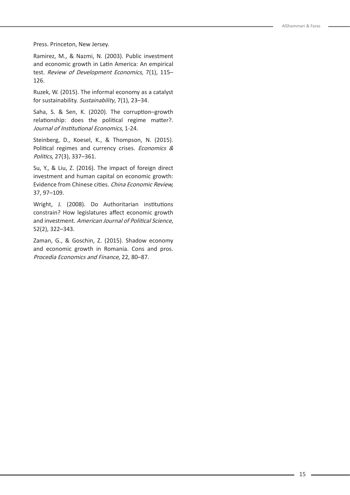Press. Princeton, New Jersey.

Ramirez, M., & Nazmi, N. (2003). Public investment and economic growth in Latin America: An empirical test. Review of Development Economics, 7(1), 115– 126.

Ruzek, W. (2015). The informal economy as a catalyst for sustainability. Sustainability, 7(1), 23–34.

Saha, S. & Sen, K. (2020). The corruption–growth relationship: does the political regime matter?. Journal of Institutional Economics, 1-24.

Steinberg, D., Koesel, K., & Thompson, N. (2015). Political regimes and currency crises. Economics & Politics, 27(3), 337–361.

Su, Y., & Liu, Z. (2016). The impact of foreign direct investment and human capital on economic growth: Evidence from Chinese cities. China Economic Review, 37, 97–109.

Wright, J. (2008). Do Authoritarian institutions constrain? How legislatures affect economic growth and investment. American Journal of Political Science, 52(2), 322–343.

Zaman, G., & Goschin, Z. (2015). Shadow economy and economic growth in Romania. Cons and pros. Procedia Economics and Finance, 22, 80–87.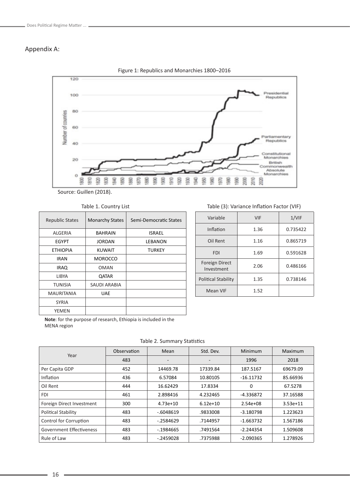# Appendix A:



Figure 1: Republics and Monarchies 1800–2016

Source: Guillen (2018).

Table 1. Country List

| <b>Republic States</b> | <b>Monarchy States</b> | Semi-Democratic States |
|------------------------|------------------------|------------------------|
| ALGERIA                | <b>BAHRAIN</b>         | <b>ISRAEL</b>          |
| EGYPT                  | JORDAN                 | LEBANON                |
| <b>ETHIOPIA</b>        | <b>KUWAIT</b>          | <b>TURKEY</b>          |
| IRAN                   | <b>MOROCCO</b>         |                        |
| <b>IRAQ</b>            | <b>OMAN</b>            |                        |
| LIBYA                  | <b>QATAR</b>           |                        |
| TUNISIA                | SAUDI ARABIA           |                        |
| <b>MAURITANIA</b>      | <b>UAE</b>             |                        |
| <b>SYRIA</b>           |                        |                        |
| YEMEN                  |                        |                        |

### Table (3): Variance Inflation Factor (VIF)

| Variable                            | <b>VIF</b> | 1/VIF    |
|-------------------------------------|------------|----------|
| Inflation                           | 1.36       | 0.735422 |
| Oil Rent                            | 1.16       | 0.865719 |
| <b>FDI</b>                          | 1.69       | 0.591628 |
| <b>Foreign Direct</b><br>Investment | 2.06       | 0.486166 |
| <b>Political Stability</b>          | 1.35       | 0.738146 |
| Mean VIF                            | 1.52       |          |

**Note**: for the purpose of research, Ethiopia is included in the MENA region

Table 2. Summary Statistics

|                            | Observation | Mean                     | Std. Dev.                | Minimum      | Maximum    |
|----------------------------|-------------|--------------------------|--------------------------|--------------|------------|
| Year                       | 483         | $\overline{\phantom{0}}$ | $\overline{\phantom{a}}$ | 1996         | 2018       |
| Per Capita GDP             | 452         | 14469.78                 | 17339.84                 | 187.5167     | 69679.09   |
| Inflation                  | 436         | 6.57084                  | 10.80105                 | $-16.11732$  | 85.66936   |
| Oil Rent                   | 444         | 16.62429                 | 17.8334                  | 0            | 67.5278    |
| <b>FDI</b>                 | 461         | 2.898416                 | 4.232465                 | -4.336872    | 37.16588   |
| Foreign Direct Investment  | 300         | $4.73e+10$               | $6.12e+10$               | $2.54e + 08$ | $3.53e+11$ |
| <b>Political Stability</b> | 483         | $-6048619$               | .9833008                 | $-3.180798$  | 1.223623   |
| Control for Corruption     | 483         | $-0.2584629$             | .7144957                 | $-1.663732$  | 1.567186   |
| Government Effectiveness   | 483         | $-1984665$               | .7491564                 | $-2.244354$  | 1.509608   |
| Rule of Law                | 483         | $-.2459028$              | .7375988                 | $-2.090365$  | 1.278926   |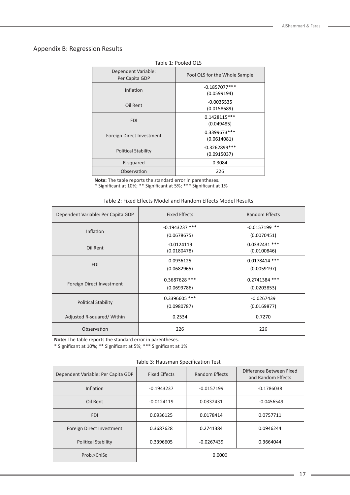# Appendix B: Regression Results

| ianic I. Lunicu OLJ                   |                                 |  |  |
|---------------------------------------|---------------------------------|--|--|
| Dependent Variable:<br>Per Capita GDP | Pool OLS for the Whole Sample   |  |  |
| Inflation                             | $-0.1857077***$<br>(0.0599194)  |  |  |
| Oil Rent                              | $-0.0035535$<br>(0.0158689)     |  |  |
| <b>FDI</b>                            | $0.1428115***$<br>(0.049485)    |  |  |
| Foreign Direct Investment             | 0.3399673***<br>(0.0614081)     |  |  |
| <b>Political Stability</b>            | $-0.3262899$ ***<br>(0.0915037) |  |  |
| R-squared                             | 0.3084                          |  |  |
| Observation                           | 226                             |  |  |

# Table 1: Pooled OLS

**Note:** The table reports the standard error in parentheses.

\* Significant at 10%; \*\* Significant at 5%; \*\*\* Significant at 1%

| Dependent Variable: Per Capita GDP | <b>Fixed Effects</b>            | <b>Random Effects</b>          |  |
|------------------------------------|---------------------------------|--------------------------------|--|
| Inflation                          | $-0.1943237$ ***<br>(0.0678675) | $-0.0157199$ **<br>(0.0070451) |  |
| Oil Rent                           | $-0.0124119$<br>(0.0180478)     | 0.0332431 ***<br>(0.0100846)   |  |
| <b>FDI</b>                         | 0.0936125<br>(0.0682965)        | $0.0178414$ ***<br>(0.0059197) |  |
| Foreign Direct Investment          | 0.3687628 ***<br>(0.0699786)    | 0.2741384 ***<br>(0.0203853)   |  |
| <b>Political Stability</b>         | 0.3396605 ***<br>(0.0980787)    | $-0.0267439$<br>(0.0169877)    |  |
| Adjusted R-squared/Within          | 0.2534                          | 0.7270                         |  |
| Observation                        | 226                             | 226                            |  |

#### Table 2: Fixed Effects Model and Random Effects Model Results

**Note:** The table reports the standard error in parentheses.

\* Significant at 10%; \*\* Significant at 5%; \*\*\* Significant at 1%

| 1991 - 9: 11999111911 - 99 Contoution - 1096 |                      |                       |                                                |  |
|----------------------------------------------|----------------------|-----------------------|------------------------------------------------|--|
| Dependent Variable: Per Capita GDP           | <b>Fixed Effects</b> | <b>Random Effects</b> | Difference Between Fixed<br>and Random Effects |  |
| <b>Inflation</b>                             | $-0.1943237$         | $-0.0157199$          | $-0.1786038$                                   |  |
| Oil Rent                                     | $-0.0124119$         | 0.0332431             | $-0.0456549$                                   |  |
| <b>FDI</b>                                   | 0.0936125            | 0.0178414             | 0.0757711                                      |  |
| Foreign Direct Investment                    | 0.3687628            | 0.2741384             | 0.0946244                                      |  |
| <b>Political Stability</b>                   | 0.3396605            | $-0.0267439$          | 0.3664044                                      |  |
| Prob.>ChiSq                                  | 0.0000               |                       |                                                |  |

Table 3: Hausman Specification Test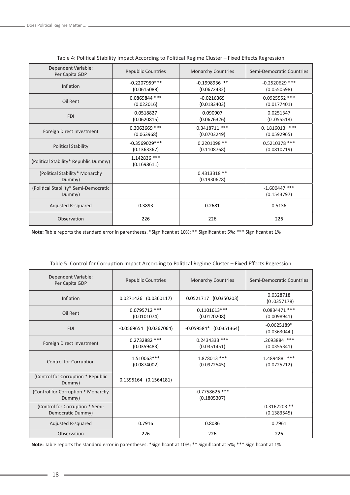| Dependent Variable:<br>Per Capita GDP           | <b>Republic Countries</b>      | <b>Monarchy Countries</b>      | Semi-Democratic Countries         |
|-------------------------------------------------|--------------------------------|--------------------------------|-----------------------------------|
| Inflation                                       | $-0.2207959***$<br>(0.0615088) | $-0.1998936$ **<br>(0.0672432) | $-0.2520629$ ***<br>(0.0550598)   |
| Oil Rent                                        | 0.0869844 ***<br>(0.022016)    | $-0.0216369$<br>(0.0183403)    | 0.0925552 ***<br>(0.0177401)      |
| <b>FDI</b>                                      | 0.0518827<br>(0.0620815)       | 0.090907<br>(0.0676326)        | 0.0251347<br>(0.055518)           |
| Foreign Direct Investment                       | 0.3063669 ***<br>(0.063968)    | $0.3418711$ ***<br>(0.0703249) | $***$<br>0.1816013<br>(0.0592965) |
| <b>Political Stability</b>                      | $-0.3569029***$<br>(0.1363367) | 0.2201098 **<br>(0.1108768)    | 0.5210378 ***<br>(0.0810719)      |
| (Political Stability* Republic Dummy)           | 1.142836 ***<br>(0.1698611)    |                                |                                   |
| (Political Stability* Monarchy<br>Dummy)        |                                | 0.4313318 **<br>(0.1930628)    |                                   |
| (Political Stability* Semi-Democratic<br>Dummy) |                                |                                | $-1.600447$ ***<br>(0.1543797)    |
| Adjusted R-squared                              | 0.3893                         | 0.2681                         | 0.5136                            |
| Observation                                     | 226                            | 226                            | 226                               |

|  |  | Table 4: Political Stability Impact According to Political Regime Cluster - Fixed Effects Regression |
|--|--|------------------------------------------------------------------------------------------------------|
|  |  |                                                                                                      |

**Note:** Table reports the standard error in parentheses. \*Significant at 10%; \*\* Significant at 5%; \*\*\* Significant at 1%

| Dependent Variable:<br>Per Capita GDP                | <b>Republic Countries</b>    | <b>Monarchy Countries</b>       | Semi-Democratic Countries     |
|------------------------------------------------------|------------------------------|---------------------------------|-------------------------------|
| Inflation                                            | 0.0271426 (0.0360117)        | 0.0521717 (0.0350203)           | 0.0328718<br>(0.0357178)      |
| Oil Rent                                             | 0.0795712 ***<br>(0.0101074) | $0.1101613***$<br>(0.0120208)   | 0.0834471 ***<br>(0.0098941)  |
| <b>FDI</b>                                           | $-0.0569654$ (0.0367064)     | $-0.059584*$ (0.0351364)        | $-0.0625189*$<br>(0.0363044)  |
| Foreign Direct Investment                            | 0.2732882 ***<br>(0.0359483) | 0.2434333 ***<br>(0.0351451)    | .2693884 ***<br>(0.0355341)   |
| Control for Corruption                               | 1.510063***<br>(0.0874002)   | 1.878013 ***<br>(0.0972545)     | 1.489488 ***<br>(0.0725212)   |
| (Control for Corruption * Republic<br>Dummy)         | 0.1395164 (0.1564181)        |                                 |                               |
| (Control for Corruption * Monarchy<br>Dummy)         |                              | $-0.7758626$ ***<br>(0.1805307) |                               |
| (Control for Corruption * Semi-<br>Democratic Dummy) |                              |                                 | $0.3162203$ **<br>(0.1383545) |
| Adjusted R-squared                                   | 0.7916                       | 0.8086                          | 0.7961                        |
| Observation                                          | 226                          | 226                             | 226                           |

| Table 5: Control for Corruption Impact According to Political Regime Cluster - Fixed Effects Regression |  |  |  |
|---------------------------------------------------------------------------------------------------------|--|--|--|
|---------------------------------------------------------------------------------------------------------|--|--|--|

**Note:** Table reports the standard error in parentheses. \*Significant at 10%; \*\* Significant at 5%; \*\*\* Significant at 1%